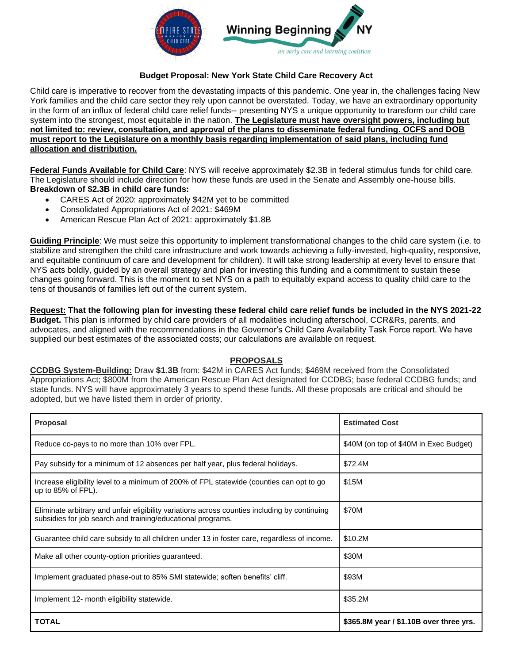

## **Budget Proposal: New York State Child Care Recovery Act**

Child care is imperative to recover from the devastating impacts of this pandemic. One year in, the challenges facing New York families and the child care sector they rely upon cannot be overstated. Today, we have an extraordinary opportunity in the form of an influx of federal child care relief funds-- presenting NYS a unique opportunity to transform our child care system into the strongest, most equitable in the nation. **The Legislature must have oversight powers, including but not limited to: review, consultation, and approval of the plans to disseminate federal funding. OCFS and DOB must report to the Legislature on a monthly basis regarding implementation of said plans, including fund allocation and distribution.** 

**Federal Funds Available for Child Care**: NYS will receive approximately \$2.3B in federal stimulus funds for child care. The Legislature should include direction for how these funds are used in the Senate and Assembly one-house bills. **Breakdown of \$2.3B in child care funds:**

- CARES Act of 2020: approximately \$42M yet to be committed
- Consolidated Appropriations Act of 2021: \$469M
- American Rescue Plan Act of 2021: approximately \$1.8B

**Guiding Principle**: We must seize this opportunity to implement transformational changes to the child care system (i.e. to stabilize and strengthen the child care infrastructure and work towards achieving a fully-invested, high-quality, responsive, and equitable continuum of care and development for children). It will take strong leadership at every level to ensure that NYS acts boldly, guided by an overall strategy and plan for investing this funding and a commitment to sustain these changes going forward. This is the moment to set NYS on a path to equitably expand access to quality child care to the tens of thousands of families left out of the current system.

**Request: That the following plan for investing these federal child care relief funds be included in the NYS 2021-22 Budget.** This plan is informed by child care providers of all modalities including afterschool, CCR&Rs, parents, and advocates, and aligned with the recommendations in the Governor's Child Care Availability Task Force report. We have supplied our best estimates of the associated costs; our calculations are available on request.

## **PROPOSALS**

**CCDBG System-Building:** Draw **\$1.3B** from: \$42M in CARES Act funds; \$469M received from the Consolidated Appropriations Act; \$800M from the American Rescue Plan Act designated for CCDBG; base federal CCDBG funds; and state funds. NYS will have approximately 3 years to spend these funds. All these proposals are critical and should be adopted, but we have listed them in order of priority.

| <b>Proposal</b>                                                                                                                                              | <b>Estimated Cost</b>                   |
|--------------------------------------------------------------------------------------------------------------------------------------------------------------|-----------------------------------------|
| Reduce co-pays to no more than 10% over FPL.                                                                                                                 | \$40M (on top of \$40M in Exec Budget)  |
| Pay subsidy for a minimum of 12 absences per half year, plus federal holidays.                                                                               | \$72.4M                                 |
| Increase eligibility level to a minimum of 200% of FPL statewide (counties can opt to go<br>up to $85\%$ of FPL).                                            | \$15M                                   |
| Eliminate arbitrary and unfair eligibility variations across counties including by continuing<br>subsidies for job search and training/educational programs. | \$70M                                   |
| Guarantee child care subsidy to all children under 13 in foster care, regardless of income.                                                                  | \$10.2M                                 |
| Make all other county-option priorities guaranteed.                                                                                                          | \$30M                                   |
| Implement graduated phase-out to 85% SMI statewide; soften benefits' cliff.                                                                                  | \$93M                                   |
| Implement 12- month eligibility statewide.                                                                                                                   | \$35.2M                                 |
| <b>TOTAL</b>                                                                                                                                                 | \$365.8M year / \$1.10B over three yrs. |